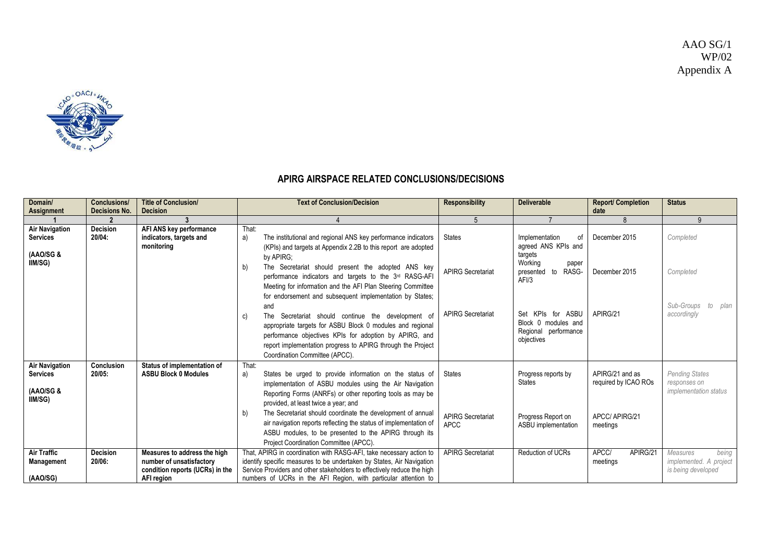

## **APIRG AIRSPACE RELATED CONCLUSIONS/DECISIONS**

| Domain/<br>Assignment                                 | <b>Conclusions/</b><br>Decisions No. | <b>Title of Conclusion/</b><br><b>Decision</b>                                                            | <b>Text of Conclusion/Decision</b>                                                                                                                                                                                                                                                                                                                  | <b>Responsibility</b>                   | <b>Deliverable</b>                                                             | <b>Report/ Completion</b><br>date       | <b>Status</b>                                                            |
|-------------------------------------------------------|--------------------------------------|-----------------------------------------------------------------------------------------------------------|-----------------------------------------------------------------------------------------------------------------------------------------------------------------------------------------------------------------------------------------------------------------------------------------------------------------------------------------------------|-----------------------------------------|--------------------------------------------------------------------------------|-----------------------------------------|--------------------------------------------------------------------------|
|                                                       |                                      |                                                                                                           |                                                                                                                                                                                                                                                                                                                                                     | 5                                       |                                                                                | 8                                       | 9                                                                        |
| <b>Air Navigation</b><br><b>Services</b><br>(AAO/SG & | <b>Decision</b><br>20/04:            | AFI ANS key performance<br>indicators, targets and<br>monitoring                                          | That:<br>The institutional and regional ANS key performance indicators<br>a)<br>(KPIs) and targets at Appendix 2.2B to this report are adopted<br>by APIRG;                                                                                                                                                                                         | <b>States</b>                           | Implementation<br>of<br>agreed ANS KPIs and<br>targets                         | December 2015                           | Completed                                                                |
| IIM/SG)                                               |                                      |                                                                                                           | The Secretariat should present the adopted ANS key<br>b)<br>performance indicators and targets to the 3 <sup>rd</sup> RASG-AFI<br>Meeting for information and the AFI Plan Steering Committee                                                                                                                                                       | <b>APIRG Secretariat</b>                | Working<br>paper<br>presented to<br>RASG-<br>AFI/3                             | December 2015                           | Completed                                                                |
|                                                       |                                      |                                                                                                           | for endorsement and subsequent implementation by States;<br>and<br>The Secretariat should continue the development of<br>C)<br>appropriate targets for ASBU Block 0 modules and regional<br>performance objectives KPIs for adoption by APIRG, and<br>report implementation progress to APIRG through the Project<br>Coordination Committee (APCC). | <b>APIRG Secretariat</b>                | Set KPIs for ASBU<br>Block 0 modules and<br>Regional performance<br>objectives | APIRG/21                                | Sub-Groups<br>to plan<br>accordingly                                     |
| <b>Air Navigation</b><br><b>Services</b><br>(AAO/SG & | Conclusion<br>$20/05$ :              | Status of implementation of<br><b>ASBU Block 0 Modules</b>                                                | That:<br>States be urged to provide information on the status of<br>a)<br>implementation of ASBU modules using the Air Navigation<br>Reporting Forms (ANRFs) or other reporting tools as may be                                                                                                                                                     | <b>States</b>                           | Progress reports by<br><b>States</b>                                           | APIRG/21 and as<br>required by ICAO ROs | <b>Pending States</b><br>responses on<br><i>implementation status</i>    |
| IIM/SG)                                               |                                      |                                                                                                           | provided, at least twice a year; and<br>The Secretariat should coordinate the development of annual<br>b)<br>air navigation reports reflecting the status of implementation of<br>ASBU modules, to be presented to the APIRG through its<br>Project Coordination Committee (APCC).                                                                  | <b>APIRG Secretariat</b><br><b>APCC</b> | Progress Report on<br>ASBU implementation                                      | APCC/ APIRG/21<br>meetings              |                                                                          |
| Air Traffic<br>Management<br>(AAO/SG)                 | <b>Decision</b><br>20/06:            | Measures to address the high<br>number of unsatisfactory<br>condition reports (UCRs) in the<br>AFI region | That, APIRG in coordination with RASG-AFI, take necessary action to<br>identify specific measures to be undertaken by States, Air Navigation<br>Service Providers and other stakeholders to effectively reduce the high<br>numbers of UCRs in the AFI Region, with particular attention to                                                          | <b>APIRG Secretariat</b>                | Reduction of UCRs                                                              | APCC/<br>APIRG/21<br>meetings           | <b>Measures</b><br>being<br>implemented. A project<br>is being developed |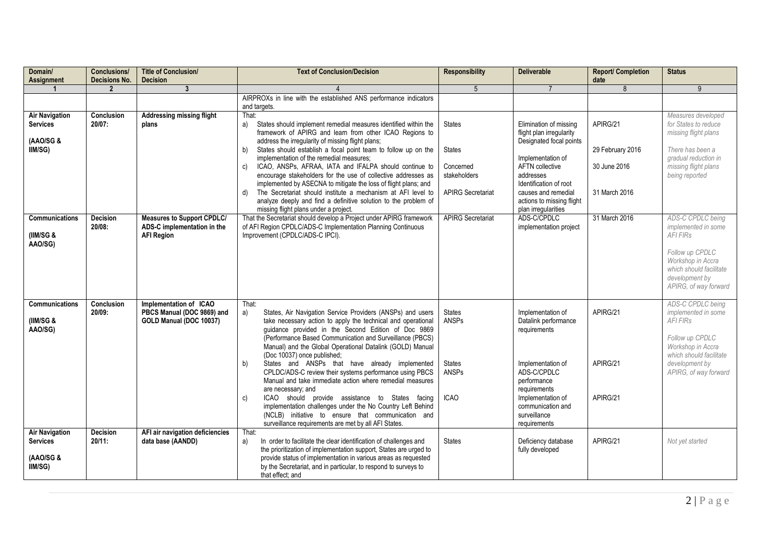| Domain/<br>Assignment                                 | <b>Conclusions/</b><br><b>Decisions No.</b> | <b>Title of Conclusion/</b><br><b>Decision</b>                                        | <b>Text of Conclusion/Decision</b>                                                                                                                                                                                                                                                                                                                       | <b>Responsibility</b>         | <b>Deliverable</b>                                                                     | <b>Report/ Completion</b><br>date | <b>Status</b>                                                                                                                  |
|-------------------------------------------------------|---------------------------------------------|---------------------------------------------------------------------------------------|----------------------------------------------------------------------------------------------------------------------------------------------------------------------------------------------------------------------------------------------------------------------------------------------------------------------------------------------------------|-------------------------------|----------------------------------------------------------------------------------------|-----------------------------------|--------------------------------------------------------------------------------------------------------------------------------|
|                                                       | $\overline{2}$                              | 3                                                                                     |                                                                                                                                                                                                                                                                                                                                                          | 5                             |                                                                                        |                                   | 9                                                                                                                              |
|                                                       |                                             |                                                                                       | AIRPROXs in line with the established ANS performance indicators<br>and targets.                                                                                                                                                                                                                                                                         |                               |                                                                                        |                                   |                                                                                                                                |
| <b>Air Navigation</b><br><b>Services</b><br>(AAO/SG & | Conclusion<br>20/07:                        | <b>Addressing missing flight</b><br>plans                                             | That:<br>States should implement remedial measures identified within the<br>a)<br>framework of APIRG and learn from other ICAO Regions to<br>address the irregularity of missing flight plans;                                                                                                                                                           | <b>States</b>                 | Elimination of missing<br>flight plan irregularity<br>Designated focal points          | APIRG/21                          | Measures developed<br>for States to reduce<br>missing flight plans                                                             |
| IIM/SG)                                               |                                             |                                                                                       | States should establish a focal point team to follow up on the<br>b)<br>implementation of the remedial measures;<br>ICAO, ANSPs, AFRAA, IATA and IFALPA should continue to<br>C)                                                                                                                                                                         | <b>States</b><br>Concerned    | Implementation of<br><b>AFTN</b> collective                                            | 29 February 2016<br>30 June 2016  | There has been a<br>gradual reduction in<br>missing flight plans                                                               |
|                                                       |                                             |                                                                                       | encourage stakeholders for the use of collective addresses as<br>implemented by ASECNA to mitigate the loss of flight plans; and                                                                                                                                                                                                                         | stakeholders                  | addresses<br>Identification of root                                                    |                                   | being reported                                                                                                                 |
|                                                       |                                             |                                                                                       | The Secretariat should institute a mechanism at AFI level to<br>$\mathsf{d}$<br>analyze deeply and find a definitive solution to the problem of<br>missing flight plans under a project.                                                                                                                                                                 | <b>APIRG Secretariat</b>      | causes and remedial<br>actions to missing flight<br>plan irregularities                | 31 March 2016                     |                                                                                                                                |
| <b>Communications</b><br>(IIM/SG &<br>AAO/SG)         | <b>Decision</b><br>$20/08$ :                | <b>Measures to Support CPDLC/</b><br>ADS-C implementation in the<br><b>AFI Region</b> | That the Secretariat should develop a Project under APIRG framework<br>of AFI Region CPDLC/ADS-C Implementation Planning Continuous<br>Improvement (CPDLC/ADS-C IPCI).                                                                                                                                                                                   | <b>APIRG Secretariat</b>      | ADS-C/CPDLC<br>implementation project                                                  | 31 March 2016                     | ADS-C CPDLC being<br>implemented in some<br><b>AFI FIRS</b>                                                                    |
|                                                       |                                             |                                                                                       |                                                                                                                                                                                                                                                                                                                                                          |                               |                                                                                        |                                   | Follow up CPDLC<br>Workshop in Accra<br>which should facilitate<br>development by<br>APIRG, of way forward                     |
| <b>Communications</b><br>(IIM/SG &<br>AAO/SG)         | Conclusion<br>20/09:                        | Implementation of ICAO<br>PBCS Manual (DOC 9869) and<br>GOLD Manual (DOC 10037)       | That:<br>States, Air Navigation Service Providers (ANSPs) and users<br>a)<br>take necessary action to apply the technical and operational<br>guidance provided in the Second Edition of Doc 9869<br>(Performance Based Communication and Surveillance (PBCS)<br>Manual) and the Global Operational Datalink (GOLD) Manual<br>(Doc 10037) once published; | <b>States</b><br><b>ANSPs</b> | Implementation of<br>Datalink performance<br>requirements                              | APIRG/21                          | ADS-C CPDLC being<br>implemented in some<br><b>AFI FIRS</b><br>Follow up CPDLC<br>Workshop in Accra<br>which should facilitate |
|                                                       |                                             |                                                                                       | States and ANSPs that have already implemented<br>b)<br>CPLDC/ADS-C review their systems performance using PBCS<br>Manual and take immediate action where remedial measures                                                                                                                                                                              | <b>States</b><br><b>ANSPs</b> | Implementation of<br>ADS-C/CPDLC<br>performance                                        | APIRG/21                          | development by<br>APIRG, of way forward                                                                                        |
|                                                       |                                             |                                                                                       | are necessary; and<br>ICAO should provide assistance to States facing<br>c)<br>implementation challenges under the No Country Left Behind<br>(NCLB) initiative to ensure that communication and<br>surveillance requirements are met by all AFI States.                                                                                                  | <b>ICAO</b>                   | requirements<br>Implementation of<br>communication and<br>surveillance<br>requirements | APIRG/21                          |                                                                                                                                |
| <b>Air Navigation</b><br><b>Services</b>              | <b>Decision</b><br>$20/11$ :                | AFI air navigation deficiencies<br>data base (AANDD)                                  | That:<br>In order to facilitate the clear identification of challenges and<br>a)<br>the prioritization of implementation support, States are urged to                                                                                                                                                                                                    | <b>States</b>                 | Deficiency database<br>fully developed                                                 | APIRG/21                          | Not yet started                                                                                                                |
| (AAO/SG &<br>IIM/SG)                                  |                                             |                                                                                       | provide status of implementation in various areas as requested<br>by the Secretariat, and in particular, to respond to surveys to<br>that effect; and                                                                                                                                                                                                    |                               |                                                                                        |                                   |                                                                                                                                |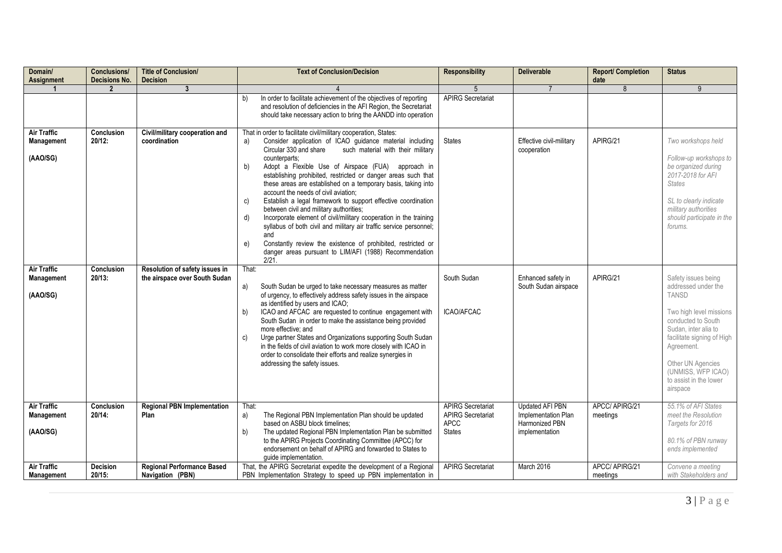| Domain/<br>Assignment                               | <b>Conclusions/</b><br><b>Decisions No.</b> | <b>Title of Conclusion/</b><br><b>Decision</b>                  | <b>Text of Conclusion/Decision</b>                                                                                                                                                                                                                                                                                                                                                                                                                                                                                                                                                                                                                                                                                                                                                                                                                                            | <b>Responsibility</b>                                                                | <b>Deliverable</b>                                                                | <b>Report/ Completion</b><br>date | <b>Status</b>                                                                                                                                                                                                                                                    |
|-----------------------------------------------------|---------------------------------------------|-----------------------------------------------------------------|-------------------------------------------------------------------------------------------------------------------------------------------------------------------------------------------------------------------------------------------------------------------------------------------------------------------------------------------------------------------------------------------------------------------------------------------------------------------------------------------------------------------------------------------------------------------------------------------------------------------------------------------------------------------------------------------------------------------------------------------------------------------------------------------------------------------------------------------------------------------------------|--------------------------------------------------------------------------------------|-----------------------------------------------------------------------------------|-----------------------------------|------------------------------------------------------------------------------------------------------------------------------------------------------------------------------------------------------------------------------------------------------------------|
| -1                                                  | $\mathbf{2}$                                | $\mathbf{3}$                                                    |                                                                                                                                                                                                                                                                                                                                                                                                                                                                                                                                                                                                                                                                                                                                                                                                                                                                               | 5                                                                                    | $\overline{7}$                                                                    | 8                                 | 9                                                                                                                                                                                                                                                                |
|                                                     |                                             |                                                                 | In order to facilitate achievement of the objectives of reporting<br>b)<br>and resolution of deficiencies in the AFI Region, the Secretariat<br>should take necessary action to bring the AANDD into operation                                                                                                                                                                                                                                                                                                                                                                                                                                                                                                                                                                                                                                                                | <b>APIRG Secretariat</b>                                                             |                                                                                   |                                   |                                                                                                                                                                                                                                                                  |
| <b>Air Traffic</b><br><b>Management</b><br>(AAO/SG) | <b>Conclusion</b><br>20/12:                 | Civil/military cooperation and<br>coordination                  | That in order to facilitate civil/military cooperation, States:<br>Consider application of ICAO guidance material including<br>a)<br>Circular 330 and share<br>such material with their military<br>counterparts:<br>b)<br>Adopt a Flexible Use of Airspace (FUA)<br>approach in<br>establishing prohibited, restricted or danger areas such that<br>these areas are established on a temporary basis, taking into<br>account the needs of civil aviation;<br>Establish a legal framework to support effective coordination<br>C)<br>between civil and military authorities;<br>Incorporate element of civil/military cooperation in the training<br>d)<br>syllabus of both civil and military air traffic service personnel;<br>and<br>e)<br>Constantly review the existence of prohibited, restricted or<br>danger areas pursuant to LIM/AFI (1988) Recommendation<br>2/21. | <b>States</b>                                                                        | Effective civil-military<br>cooperation                                           | APIRG/21                          | Two workshops held<br>Follow-up workshops to<br>be organized during<br>2017-2018 for AFI<br><b>States</b><br>SL to clearly indicate<br>military authorities<br>should participate in the<br>forums.                                                              |
| <b>Air Traffic</b><br><b>Management</b><br>(AAO/SG) | Conclusion<br>$20/13$ :                     | Resolution of safety issues in<br>the airspace over South Sudan | That:<br>South Sudan be urged to take necessary measures as matter<br>a)<br>of urgency, to effectively address safety issues in the airspace<br>as identified by users and ICAO;<br>ICAO and AFCAC are requested to continue engagement with<br>b)<br>South Sudan in order to make the assistance being provided<br>more effective; and<br>Urge partner States and Organizations supporting South Sudan<br>c)<br>in the fields of civil aviation to work more closely with ICAO in<br>order to consolidate their efforts and realize synergies in<br>addressing the safety issues.                                                                                                                                                                                                                                                                                            | South Sudan<br>ICAO/AFCAC                                                            | Enhanced safety in<br>South Sudan airspace                                        | APIRG/21                          | Safety issues being<br>addressed under the<br><b>TANSD</b><br>Two high level missions<br>conducted to South<br>Sudan, inter alia to<br>facilitate signing of High<br>Agreement.<br>Other UN Agencies<br>(UNMISS, WFP ICAO)<br>to assist in the lower<br>airspace |
| <b>Air Traffic</b><br><b>Management</b><br>(AAO/SG) | Conclusion<br>$20/14$ :                     | <b>Regional PBN Implementation</b><br>Plan                      | That:<br>The Regional PBN Implementation Plan should be updated<br>a)<br>based on ASBU block timelines:<br>The updated Regional PBN Implementation Plan be submitted<br>b)<br>to the APIRG Projects Coordinating Committee (APCC) for<br>endorsement on behalf of APIRG and forwarded to States to<br>quide implementation.                                                                                                                                                                                                                                                                                                                                                                                                                                                                                                                                                   | <b>APIRG Secretariat</b><br><b>APIRG Secretariat</b><br><b>APCC</b><br><b>States</b> | <b>Updated AFI PBN</b><br>Implementation Plan<br>Harmonized PBN<br>implementation | APCC/ APIRG/21<br>meetings        | 55.1% of AFI States<br>meet the Resolution<br>Targets for 2016<br>80.1% of PBN runway<br>ends implemented                                                                                                                                                        |
| <b>Air Traffic</b><br><b>Management</b>             | Decision<br>$20/15$ :                       | <b>Regional Performance Based</b><br>Navigation (PBN)           | That, the APIRG Secretariat expedite the development of a Regional<br>PBN Implementation Strategy to speed up PBN implementation in                                                                                                                                                                                                                                                                                                                                                                                                                                                                                                                                                                                                                                                                                                                                           | <b>APIRG Secretariat</b>                                                             | March 2016                                                                        | APCC/ APIRG/21<br>meetings        | Convene a meeting<br>with Stakeholders and                                                                                                                                                                                                                       |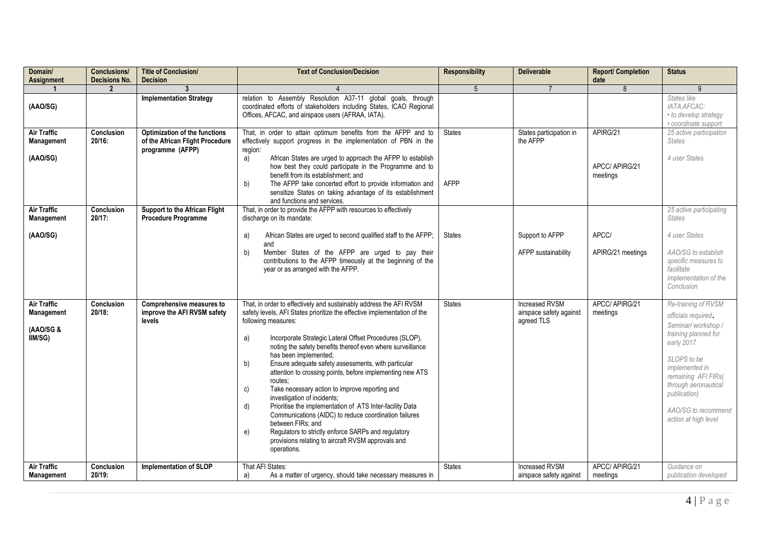| Domain/<br><b>Assignment</b>                                       | <b>Conclusions/</b><br><b>Decisions No.</b> | <b>Title of Conclusion/</b><br><b>Decision</b>                                                                               | <b>Text of Conclusion/Decision</b>                                                                                                                                                                                                                                                                                                                                                                                                                                                                                                                                                                                                                                                                                                                                                                                                          | <b>Responsibility</b>        | <b>Deliverable</b>                                             | <b>Report/ Completion</b><br>date      | <b>Status</b>                                                                                                                                                                                                                                        |
|--------------------------------------------------------------------|---------------------------------------------|------------------------------------------------------------------------------------------------------------------------------|---------------------------------------------------------------------------------------------------------------------------------------------------------------------------------------------------------------------------------------------------------------------------------------------------------------------------------------------------------------------------------------------------------------------------------------------------------------------------------------------------------------------------------------------------------------------------------------------------------------------------------------------------------------------------------------------------------------------------------------------------------------------------------------------------------------------------------------------|------------------------------|----------------------------------------------------------------|----------------------------------------|------------------------------------------------------------------------------------------------------------------------------------------------------------------------------------------------------------------------------------------------------|
|                                                                    | $\boldsymbol{\mathcal{P}}$                  |                                                                                                                              |                                                                                                                                                                                                                                                                                                                                                                                                                                                                                                                                                                                                                                                                                                                                                                                                                                             | 5                            |                                                                | 8                                      |                                                                                                                                                                                                                                                      |
| (AAO/SG)                                                           |                                             | <b>Implementation Strategy</b>                                                                                               | relation to Assembly Resolution A37-11 global goals, through<br>coordinated efforts of stakeholders including States, ICAO Regional<br>Offices, AFCAC, and airspace users (AFRAA, IATA).                                                                                                                                                                                                                                                                                                                                                                                                                                                                                                                                                                                                                                                    |                              |                                                                |                                        | States like<br>IATA.AFCAC:<br>• to develop strategy<br>• coordinate support                                                                                                                                                                          |
| <b>Air Traffic</b><br>Management<br>(AAO/SG)<br><b>Air Traffic</b> | Conclusion<br>$20/16$ :<br>Conclusion       | Optimization of the functions<br>of the African Flight Procedure<br>programme (AFPP)<br><b>Support to the African Flight</b> | That, in order to attain optimum benefits from the AFPP and to<br>effectively support progress in the implementation of PBN in the<br>region:<br>African States are urged to approach the AFPP to establish<br>a)<br>how best they could participate in the Programme and to<br>benefit from its establishment: and<br>b)<br>The AFPP take concerted effort to provide information and<br>sensitize States on taking advantage of its establishment<br>and functions and services.<br>That, in order to provide the AFPP with resources to effectively                                                                                                                                                                                                                                                                                      | <b>States</b><br><b>AFPP</b> | States participation in<br>the AFPP                            | APIRG/21<br>APCC/ APIRG/21<br>meetings | 25 active participation<br><b>States</b><br>4 user States<br>25 active participating                                                                                                                                                                 |
| Management                                                         | 20/17:                                      | <b>Procedure Programme</b>                                                                                                   | discharge on its mandate:                                                                                                                                                                                                                                                                                                                                                                                                                                                                                                                                                                                                                                                                                                                                                                                                                   |                              |                                                                |                                        | <b>States</b>                                                                                                                                                                                                                                        |
| (AAO/SG)                                                           |                                             |                                                                                                                              | African States are urged to second qualified staff to the AFPP;<br>a)<br>and                                                                                                                                                                                                                                                                                                                                                                                                                                                                                                                                                                                                                                                                                                                                                                | <b>States</b>                | Support to AFPP                                                | APCC/                                  | 4 user States                                                                                                                                                                                                                                        |
|                                                                    |                                             |                                                                                                                              | b)<br>Member States of the AFPP are urged to pay their<br>contributions to the AFPP timeously at the beginning of the<br>year or as arranged with the AFPP.                                                                                                                                                                                                                                                                                                                                                                                                                                                                                                                                                                                                                                                                                 |                              | AFPP sustainability                                            | APIRG/21 meetings                      | AAO/SG to establish<br>specific measures to<br>facilitate<br>implementation of the<br>Conclusion                                                                                                                                                     |
| <b>Air Traffic</b><br>Management<br>(AAO/SG &<br>IIM/SG)           | Conclusion<br>$20/18$ :                     | Comprehensive measures to<br>improve the AFI RVSM safety<br>levels                                                           | That, in order to effectively and sustainably address the AFI RVSM<br>safety levels, AFI States prioritize the effective implementation of the<br>following measures:<br>a)<br>Incorporate Strategic Lateral Offset Procedures (SLOP),<br>noting the safety benefits thereof even where surveillance<br>has been implemented;<br>b)<br>Ensure adequate safety assessments, with particular<br>attention to crossing points, before implementing new ATS<br>routes:<br>c)<br>Take necessary action to improve reporting and<br>investigation of incidents;<br>d)<br>Prioritise the implementation of ATS Inter-facility Data<br>Communications (AIDC) to reduce coordination failures<br>between FIRs: and<br>e)<br>Regulators to strictly enforce SARPs and regulatory<br>provisions relating to aircraft RVSM approvals and<br>operations. | <b>States</b>                | <b>Increased RVSM</b><br>airspace safety against<br>agreed TLS | APCC/ APIRG/21<br>meetings             | Re-training of RVSM<br>officials required.<br>Seminar/workshop/<br>training planned for<br>early 2017<br>SLOPS to be<br>implemented in<br>remaining AFI FIRs(<br>through aeronautical<br>publication)<br>AAO/SG to recommend<br>action at high level |
| <b>Air Traffic</b><br>Management                                   | Conclusion<br>20/19.                        | <b>Implementation of SLOP</b>                                                                                                | That AFI States:<br>As a matter of urgency, should take necessary measures in<br>a)                                                                                                                                                                                                                                                                                                                                                                                                                                                                                                                                                                                                                                                                                                                                                         | <b>States</b>                | <b>Increased RVSM</b><br>airspace safety against               | APCC/ APIRG/21<br>meetings             | Guidance on<br>publication developed                                                                                                                                                                                                                 |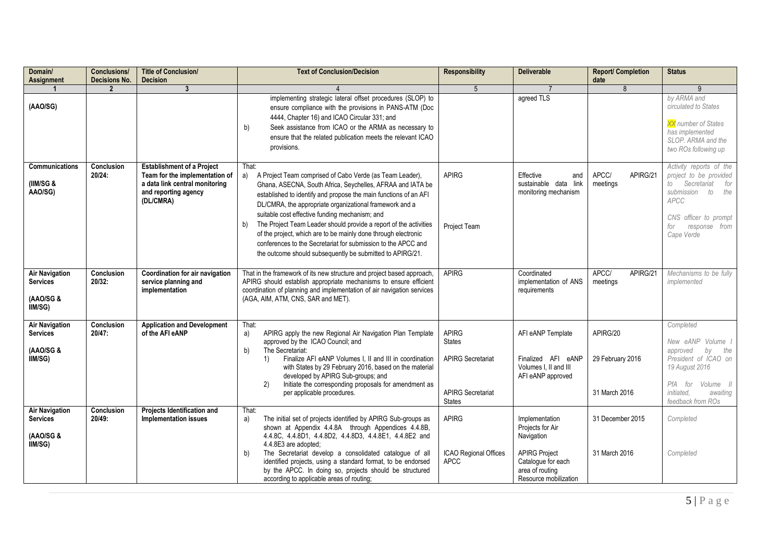| Domain/<br>Assignment                                            | Conclusions/<br><b>Decisions No.</b> | <b>Title of Conclusion/</b><br><b>Decision</b>                                                                                             | <b>Text of Conclusion/Decision</b>                                                                                                                                                                                                                                                                                                                                                                                                                                                                                                                                                                | <b>Responsibility</b>                                                                                  | <b>Deliverable</b>                                                                                                                         | <b>Report/ Completion</b><br>date             | <b>Status</b>                                                                                                                                                                |
|------------------------------------------------------------------|--------------------------------------|--------------------------------------------------------------------------------------------------------------------------------------------|---------------------------------------------------------------------------------------------------------------------------------------------------------------------------------------------------------------------------------------------------------------------------------------------------------------------------------------------------------------------------------------------------------------------------------------------------------------------------------------------------------------------------------------------------------------------------------------------------|--------------------------------------------------------------------------------------------------------|--------------------------------------------------------------------------------------------------------------------------------------------|-----------------------------------------------|------------------------------------------------------------------------------------------------------------------------------------------------------------------------------|
|                                                                  | $\mathbf{2}$                         | $\mathbf{3}$                                                                                                                               |                                                                                                                                                                                                                                                                                                                                                                                                                                                                                                                                                                                                   | 5                                                                                                      |                                                                                                                                            | 8                                             | 9                                                                                                                                                                            |
| (AAO/SG)                                                         |                                      |                                                                                                                                            | implementing strategic lateral offset procedures (SLOP) to<br>ensure compliance with the provisions in PANS-ATM (Doc<br>4444, Chapter 16) and ICAO Circular 331; and<br>Seek assistance from ICAO or the ARMA as necessary to<br>b)<br>ensure that the related publication meets the relevant ICAO<br>provisions.                                                                                                                                                                                                                                                                                 |                                                                                                        | agreed TLS                                                                                                                                 |                                               | by ARMA and<br>circulated to States<br>XX number of States<br>has implemented<br>SLOP. ARMA and the<br>two ROs following up                                                  |
| Communications<br>(IIM/SG 8<br>AAO/SG)                           | <b>Conclusion</b><br>20/24:          | <b>Establishment of a Project</b><br>Team for the implementation of<br>a data link central monitoring<br>and reporting agency<br>(DL/CMRA) | That:<br>A Project Team comprised of Cabo Verde (as Team Leader),<br>a)<br>Ghana, ASECNA, South Africa, Seychelles, AFRAA and IATA be<br>established to identify and propose the main functions of an AFI<br>DL/CMRA, the appropriate organizational framework and a<br>suitable cost effective funding mechanism; and<br>The Project Team Leader should provide a report of the activities<br>b)<br>of the project, which are to be mainly done through electronic<br>conferences to the Secretariat for submission to the APCC and<br>the outcome should subsequently be submitted to APIRG/21. | <b>APIRG</b><br>Project Team                                                                           | Effective<br>and<br>sustainable data link<br>monitoring mechanism                                                                          | APCC/<br>APIRG/21<br>meetings                 | Activity reports of the<br>project to be provided<br>Secretariat<br>for<br>to<br>submission to<br>the<br>APCC<br>CNS officer to prompt<br>for<br>response from<br>Cape Verde |
| <b>Air Navigation</b><br><b>Services</b><br>(AAO/SG &<br>IIM/SG) | Conclusion<br>20/32:                 | Coordination for air navigation<br>service planning and<br>implementation                                                                  | That in the framework of its new structure and project based approach,<br>APIRG should establish appropriate mechanisms to ensure efficient<br>coordination of planning and implementation of air navigation services<br>(AGA, AIM, ATM, CNS, SAR and MET).                                                                                                                                                                                                                                                                                                                                       | <b>APIRG</b>                                                                                           | Coordinated<br>implementation of ANS<br>requirements                                                                                       | APCC/<br>APIRG/21<br>meetings                 | Mechanisms to be fully<br>implemented                                                                                                                                        |
| <b>Air Navigation</b><br><b>Services</b><br>(AAO/SG &<br>IIM/SG) | Conclusion<br>20/47:                 | <b>Application and Development</b><br>of the AFI eANP                                                                                      | That:<br>APIRG apply the new Regional Air Navigation Plan Template<br>a)<br>approved by the ICAO Council; and<br>The Secretariat:<br>b)<br>Finalize AFI eANP Volumes I, II and III in coordination<br>1)<br>with States by 29 February 2016, based on the material<br>developed by APIRG Sub-groups; and<br>Initiate the corresponding proposals for amendment as<br>2)<br>per applicable procedures.                                                                                                                                                                                             | <b>APIRG</b><br><b>States</b><br><b>APIRG Secretariat</b><br><b>APIRG Secretariat</b><br><b>States</b> | AFI eANP Template<br>Finalized AFI eANP<br>Volumes I. II and III<br>AFI eANP approved                                                      | APIRG/20<br>29 February 2016<br>31 March 2016 | Completed<br>New eANP Volume I<br>approved<br>by<br>the<br>President of ICAO on<br>19 August 2016<br>PfA for<br>Volume II<br>initiated.<br>awaiting<br>feedback from ROs     |
| <b>Air Navigation</b><br><b>Services</b><br>(AAO/SG &<br>IIM/SG) | Conclusion<br>20/49:                 | Projects Identification and<br><b>Implementation issues</b>                                                                                | That:<br>The initial set of projects identified by APIRG Sub-groups as<br>a)<br>shown at Appendix 4.4.8A through Appendices 4.4.8B,<br>4.4.8C, 4.4.8D1, 4.4.8D2, 4.4.8D3, 4.4.8E1, 4.4.8E2 and<br>4.4.8E3 are adopted;<br>The Secretariat develop a consolidated catalogue of all<br>b)<br>identified projects, using a standard format, to be endorsed<br>by the APCC. In doing so, projects should be structured<br>according to applicable areas of routing;                                                                                                                                   | <b>APIRG</b><br>ICAO Regional Offices<br><b>APCC</b>                                                   | Implementation<br>Projects for Air<br>Navigation<br><b>APIRG Project</b><br>Catalogue for each<br>area of routing<br>Resource mobilization | 31 December 2015<br>31 March 2016             | Completed<br>Completed                                                                                                                                                       |